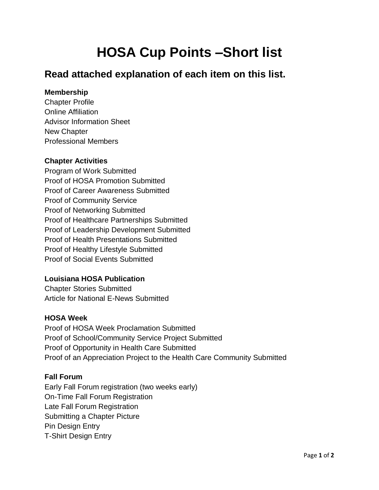# **HOSA Cup Points –Short list**

# **Read attached explanation of each item on this list.**

# **Membership**

Chapter Profile Online Affiliation Advisor Information Sheet New Chapter Professional Members

## **Chapter Activities**

Program of Work Submitted Proof of HOSA Promotion Submitted Proof of Career Awareness Submitted Proof of Community Service Proof of Networking Submitted Proof of Healthcare Partnerships Submitted Proof of Leadership Development Submitted Proof of Health Presentations Submitted Proof of Healthy Lifestyle Submitted Proof of Social Events Submitted

# **Louisiana HOSA Publication**

Chapter Stories Submitted Article for National E-News Submitted

#### **HOSA Week**

Proof of HOSA Week Proclamation Submitted Proof of School/Community Service Project Submitted Proof of Opportunity in Health Care Submitted Proof of an Appreciation Project to the Health Care Community Submitted

#### **Fall Forum**

Early Fall Forum registration (two weeks early) On-Time Fall Forum Registration Late Fall Forum Registration Submitting a Chapter Picture Pin Design Entry T-Shirt Design Entry